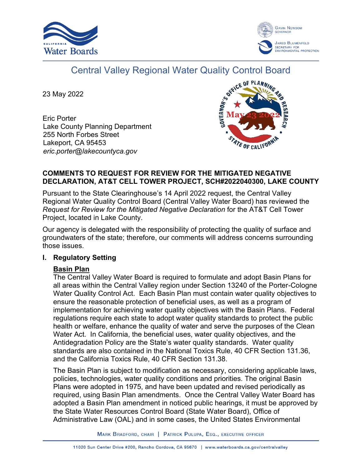



# Central Valley Regional Water Quality Control Board

23 May 2022

Eric Porter Lake County Planning Department 255 North Forbes Street Lakeport, CA 95453 *eric.porter@lakecountyca.gov*



#### **COMMENTS TO REQUEST FOR REVIEW FOR THE MITIGATED NEGATIVE DECLARATION, AT&T CELL TOWER PROJECT, SCH#2022040300, LAKE COUNTY**

Pursuant to the State Clearinghouse's 14 April 2022 request, the Central Valley Regional Water Quality Control Board (Central Valley Water Board) has reviewed the *Request for Review for the Mitigated Negative Declaration* for the AT&T Cell Tower Project, located in Lake County.

Our agency is delegated with the responsibility of protecting the quality of surface and groundwaters of the state; therefore, our comments will address concerns surrounding those issues.

# **I. Regulatory Setting**

# **Basin Plan**

The Central Valley Water Board is required to formulate and adopt Basin Plans for all areas within the Central Valley region under Section 13240 of the Porter-Cologne Water Quality Control Act. Each Basin Plan must contain water quality objectives to ensure the reasonable protection of beneficial uses, as well as a program of implementation for achieving water quality objectives with the Basin Plans. Federal regulations require each state to adopt water quality standards to protect the public health or welfare, enhance the quality of water and serve the purposes of the Clean Water Act. In California, the beneficial uses, water quality objectives, and the Antidegradation Policy are the State's water quality standards. Water quality standards are also contained in the National Toxics Rule, 40 CFR Section 131.36, and the California Toxics Rule, 40 CFR Section 131.38.

The Basin Plan is subject to modification as necessary, considering applicable laws, policies, technologies, water quality conditions and priorities. The original Basin Plans were adopted in 1975, and have been updated and revised periodically as required, using Basin Plan amendments. Once the Central Valley Water Board has adopted a Basin Plan amendment in noticed public hearings, it must be approved by the State Water Resources Control Board (State Water Board), Office of Administrative Law (OAL) and in some cases, the United States Environmental

MARK BRADFORD, CHAIR | PATRICK PULUPA, ESQ., EXECUTIVE OFFICER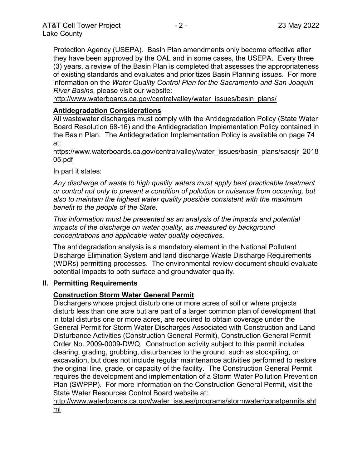Protection Agency (USEPA). Basin Plan amendments only become effective after they have been approved by the OAL and in some cases, the USEPA. Every three (3) years, a review of the Basin Plan is completed that assesses the appropriateness of existing standards and evaluates and prioritizes Basin Planning issues. For more information on the *Water Quality Control Plan for the Sacramento and San Joaquin River Basins*, please visit our website:

[http://www.waterboards.ca.gov/centralvalley/water\\_issues/basin\\_plans/](http://www.waterboards.ca.gov/centralvalley/water_issues/basin_plans/)

#### **Antidegradation Considerations**

All wastewater discharges must comply with the Antidegradation Policy (State Water Board Resolution 68-16) and the Antidegradation Implementation Policy contained in the Basin Plan. The Antidegradation Implementation Policy is available on page 74 at:

https://www.waterboards.ca.gov/centralvalley/water\_issues/basin\_plans/sacsjr\_2018 05.pdf

In part it states:

*Any discharge of waste to high quality waters must apply best practicable treatment or control not only to prevent a condition of pollution or nuisance from occurring, but also to maintain the highest water quality possible consistent with the maximum benefit to the people of the State.*

*This information must be presented as an analysis of the impacts and potential impacts of the discharge on water quality, as measured by background concentrations and applicable water quality objectives.*

The antidegradation analysis is a mandatory element in the National Pollutant Discharge Elimination System and land discharge Waste Discharge Requirements (WDRs) permitting processes. The environmental review document should evaluate potential impacts to both surface and groundwater quality.

#### **II. Permitting Requirements**

# **Construction Storm Water General Permit**

Dischargers whose project disturb one or more acres of soil or where projects disturb less than one acre but are part of a larger common plan of development that in total disturbs one or more acres, are required to obtain coverage under the General Permit for Storm Water Discharges Associated with Construction and Land Disturbance Activities (Construction General Permit), Construction General Permit Order No. 2009-0009-DWQ. Construction activity subject to this permit includes clearing, grading, grubbing, disturbances to the ground, such as stockpiling, or excavation, but does not include regular maintenance activities performed to restore the original line, grade, or capacity of the facility. The Construction General Permit requires the development and implementation of a Storm Water Pollution Prevention Plan (SWPPP). For more information on the Construction General Permit, visit the State Water Resources Control Board website at:

[http://www.waterboards.ca.gov/water\\_issues/programs/stormwater/constpermits.sht](http://www.waterboards.ca.gov/water_issues/programs/stormwater/constpermits.shtml) [ml](http://www.waterboards.ca.gov/water_issues/programs/stormwater/constpermits.shtml)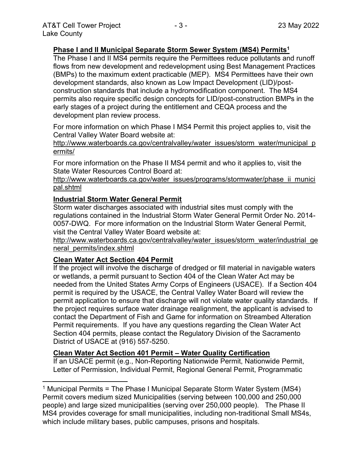# **Phase I and II Municipal Separate Storm Sewer System (MS4) Permits<sup>1</sup>**

The Phase I and II MS4 permits require the Permittees reduce pollutants and runoff flows from new development and redevelopment using Best Management Practices (BMPs) to the maximum extent practicable (MEP). MS4 Permittees have their own development standards, also known as Low Impact Development (LID)/postconstruction standards that include a hydromodification component. The MS4 permits also require specific design concepts for LID/post-construction BMPs in the early stages of a project during the entitlement and CEQA process and the development plan review process.

For more information on which Phase I MS4 Permit this project applies to, visit the Central Valley Water Board website at:

http://www.waterboards.ca.gov/centralvalley/water\_issues/storm\_water/municipal\_p ermits/

For more information on the Phase II MS4 permit and who it applies to, visit the State Water Resources Control Board at:

http://www.waterboards.ca.gov/water\_issues/programs/stormwater/phase\_ii\_munici pal.shtml

# **Industrial Storm Water General Permit**

Storm water discharges associated with industrial sites must comply with the regulations contained in the Industrial Storm Water General Permit Order No. 2014- 0057-DWQ. For more information on the Industrial Storm Water General Permit, visit the Central Valley Water Board website at:

http://www.waterboards.ca.gov/centralvalley/water\_issues/storm\_water/industrial\_ge neral\_permits/index.shtml

# **Clean Water Act Section 404 Permit**

If the project will involve the discharge of dredged or fill material in navigable waters or wetlands, a permit pursuant to Section 404 of the Clean Water Act may be needed from the United States Army Corps of Engineers (USACE). If a Section 404 permit is required by the USACE, the Central Valley Water Board will review the permit application to ensure that discharge will not violate water quality standards. If the project requires surface water drainage realignment, the applicant is advised to contact the Department of Fish and Game for information on Streambed Alteration Permit requirements. If you have any questions regarding the Clean Water Act Section 404 permits, please contact the Regulatory Division of the Sacramento District of USACE at (916) 557-5250.

#### **Clean Water Act Section 401 Permit – Water Quality Certification**

If an USACE permit (e.g., Non-Reporting Nationwide Permit, Nationwide Permit, Letter of Permission, Individual Permit, Regional General Permit, Programmatic

<sup>1</sup> Municipal Permits = The Phase I Municipal Separate Storm Water System (MS4) Permit covers medium sized Municipalities (serving between 100,000 and 250,000 people) and large sized municipalities (serving over 250,000 people). The Phase II MS4 provides coverage for small municipalities, including non-traditional Small MS4s, which include military bases, public campuses, prisons and hospitals.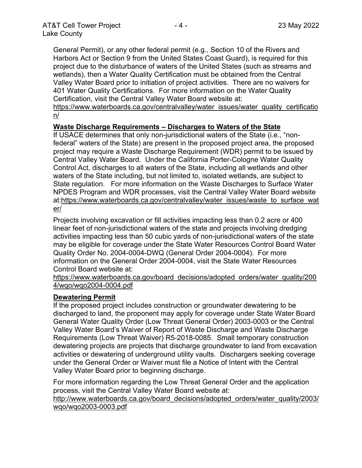General Permit), or any other federal permit (e.g., Section 10 of the Rivers and Harbors Act or Section 9 from the United States Coast Guard), is required for this project due to the disturbance of waters of the United States (such as streams and wetlands), then a Water Quality Certification must be obtained from the Central Valley Water Board prior to initiation of project activities. There are no waivers for 401 Water Quality Certifications. For more information on the Water Quality Certification, visit the Central Valley Water Board website at:

https://www.waterboards.ca.gov/centralvalley/water\_issues/water\_quality\_certificatio n/

#### **Waste Discharge Requirements – Discharges to Waters of the State**

If USACE determines that only non-jurisdictional waters of the State (i.e., "nonfederal" waters of the State) are present in the proposed project area, the proposed project may require a Waste Discharge Requirement (WDR) permit to be issued by Central Valley Water Board. Under the California Porter-Cologne Water Quality Control Act, discharges to all waters of the State, including all wetlands and other waters of the State including, but not limited to, isolated wetlands, are subject to State regulation. For more information on the Waste Discharges to Surface Water NPDES Program and WDR processes, visit the Central Valley Water Board website at:https://www.waterboards.ca.gov/centralvalley/water\_issues/waste\_to\_surface\_wat er/

Projects involving excavation or fill activities impacting less than 0.2 acre or 400 linear feet of non-jurisdictional waters of the state and projects involving dredging activities impacting less than 50 cubic yards of non-jurisdictional waters of the state may be eligible for coverage under the State Water Resources Control Board Water Quality Order No. 2004-0004-DWQ (General Order 2004-0004). For more information on the General Order 2004-0004, visit the State Water Resources Control Board website at:

https://www.waterboards.ca.gov/board\_decisions/adopted\_orders/water\_quality/200 4/wqo/wqo2004-0004.pdf

#### **Dewatering Permit**

If the proposed project includes construction or groundwater dewatering to be discharged to land, the proponent may apply for coverage under State Water Board General Water Quality Order (Low Threat General Order) 2003-0003 or the Central Valley Water Board's Waiver of Report of Waste Discharge and Waste Discharge Requirements (Low Threat Waiver) R5-2018-0085. Small temporary construction dewatering projects are projects that discharge groundwater to land from excavation activities or dewatering of underground utility vaults. Dischargers seeking coverage under the General Order or Waiver must file a Notice of Intent with the Central Valley Water Board prior to beginning discharge.

For more information regarding the Low Threat General Order and the application process, visit the Central Valley Water Board website at:

http://www.waterboards.ca.gov/board decisions/adopted orders/water quality/2003/ wqo/wqo2003-0003.pdf